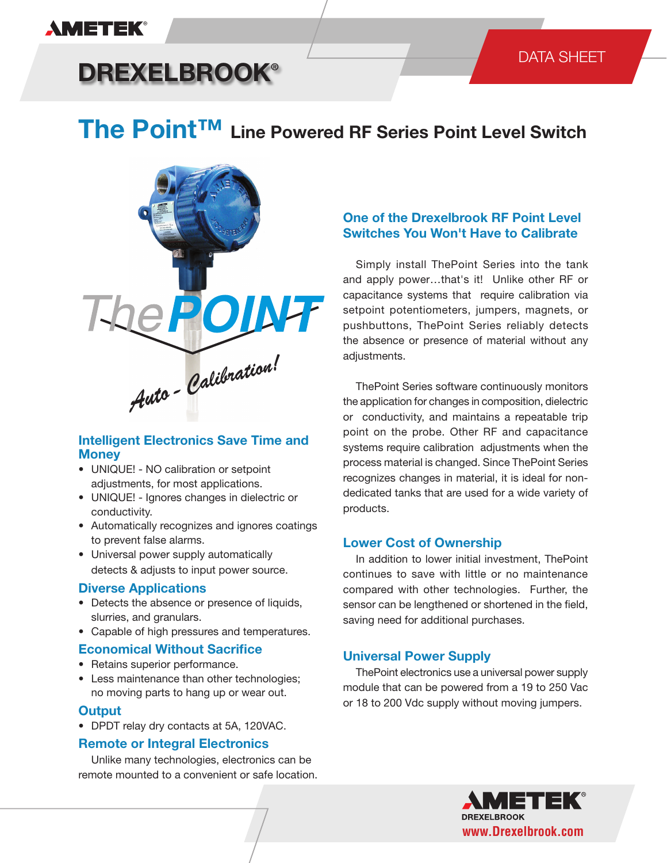# **AMETEK®**

# **DREXELBROOK®**

# DATA SHEET

# **The Point™ Line Powered RF Series Point Level Switch**



# **Intelligent Electronics Save Time and Money**

- UNIQUE! NO calibration or setpoint adjustments, for most applications.
- UNIQUE! Ignores changes in dielectric or conductivity.
- Automatically recognizes and ignores coatings to prevent false alarms.
- Universal power supply automatically detects & adjusts to input power source.

### **Diverse Applications**

- Detects the absence or presence of liquids, slurries, and granulars.
- Capable of high pressures and temperatures.

### **Economical Without Sacrifice**

- Retains superior performance.
- Less maintenance than other technologies; no moving parts to hang up or wear out.

### **Output**

• DPDT relay dry contacts at 5A, 120VAC.

# **Remote or Integral Electronics**

 Unlike many technologies, electronics can be remote mounted to a convenient or safe location.

# **One of the Drexelbrook RF Point Level Switches You Won't Have to Calibrate**

 Simply install ThePoint Series into the tank and apply power…that's it! Unlike other RF or capacitance systems that require calibration via setpoint potentiometers, jumpers, magnets, or pushbuttons, ThePoint Series reliably detects the absence or presence of material without any adiustments.

 ThePoint Series software continuously monitors the application for changes in composition, dielectric or conductivity, and maintains a repeatable trip point on the probe. Other RF and capacitance systems require calibration adjustments when the process material is changed. Since ThePoint Series recognizes changes in material, it is ideal for nondedicated tanks that are used for a wide variety of products.

### **Lower Cost of Ownership**

 In addition to lower initial investment, ThePoint continues to save with little or no maintenance compared with other technologies. Further, the sensor can be lengthened or shortened in the field, saving need for additional purchases.

### **Universal Power Supply**

 ThePoint electronics use a universal power supply module that can be powered from a 19 to 250 Vac or 18 to 200 Vdc supply without moving jumpers.

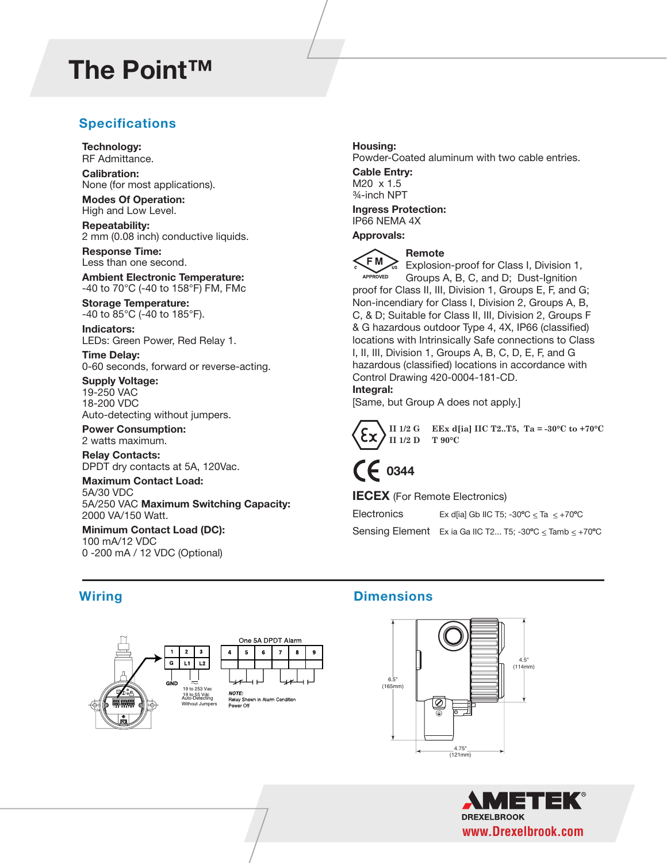# **The Point™**

# **Specifications Specifications**

**Technology:** RF Admittance.

**Calibration:**  None (for most applications).

**Modes Of Operation:** High and Low Level.

**Repeatability:** 2 mm (0.08 inch) conductive liquids.

**Response Time:** Less than one second.

**Ambient Electronic Temperature:** -40 to 70°C (-40 to 158°F) FM, FMc

**Storage Temperature:** -40 to 85°C (-40 to 185°F).

**Indicators:** LEDs: Green Power, Red Relay 1.

**Time Delay:** 0-60 seconds, forward or reverse-acting.

**Supply Voltage:** 19-250 VAC 18-200 VDC Auto-detecting without jumpers.

#### **Power Consumption:** 2 watts maximum.

**Relay Contacts:** DPDT dry contacts at 5A, 120Vac.

**Maximum Contact Load:** 5A/30 VDC 5A/250 VAC **Maximum Switching Capacity:** 2000 VA/150 Watt.

**Minimum Contact Load (DC):** 100 mA/12 VDC 0 -200 mA / 12 VDC (Optional)

## **Housing:**

Powder-Coated aluminum with two cable entries.

**Cable Entry:** M20 x 1.5 ¾-inch NPT

**Ingress Protection:** IP66 NEMA 4X

#### **Approvals:**



**Remote**

Explosion-proof for Class I, Division 1, APPROVED Groups A, B, C, and D; Dust-Ignition proof for Class II, III, Division 1, Groups E, F, and G; Non-incendiary for Class I, Division 2, Groups A, B, C, & D; Suitable for Class II, III, Division 2, Groups F & G hazardous outdoor Type 4, 4X, IP66 (classified) locations with Intrinsically Safe connections to Class I, II, III, Division 1, Groups A, B, C, D, E, F, and G hazardous (classified) locations in accordance with Control Drawing 420-0004-181-CD. **Integral:**

[Same, but Group A does not apply.]



**II 1/2 G EEx d[ia] IIC T2..T5, Ta = -30°C to +70°C II 1/2 D T 90°C**

# **0344**

### **IECEX** (For Remote Electronics)

Electronics Ex d[ia] Gb IIC T5;  $-30^{\circ}C \leq Ta \leq +70^{\circ}C$ Sensing Element Ex ia Ga IIC T2... T5; -30**º**C <\_ Tamb <\_ +70**º**C



# **Wiring Dimensions Wiring Dimensions**



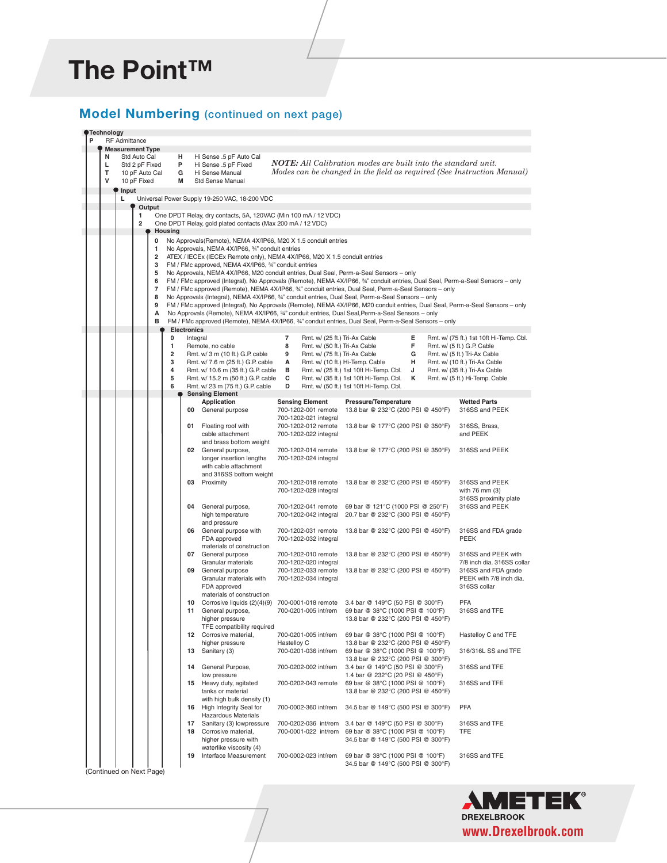#### The Point™ **ZD** *The Point™* **The Point™**

# **Model Numbering** (continued on next page) **Model Numbering** (continued on next page)

**Sensing Element Sensing Element Pressure/Temperature Wetted Parts<br>700-1202-001 remote 13.8 bar @ 232°C (200 PSI @ 450°F) 316SS and PEEK 00** General purpose 700-1202-001 remote 13.8 bar @ 232°C (200 PSI @ 450°F) 700-1202-021 integral<br>Floating roof with 700-1202-012 remote **01** Floating roof with 700-1202-012 remote 13.8 bar @ 177°C (200 PSI @ 350°F) 316SS, Brass, cable attachment 700-1202-022 integral and PEEK and brass bottom weight **02** General purpose, 700-1202-014 remote 13.8 bar @ 177°C (200 PSI @ 350°F) 316SS and PEEK<br>longer insertion lengths 700-1202-024 integral longer insertion lengths with cable attachment and 316SS bottom weight<br>03 Proximity **03** Proximity 700-1202-018 remote 13.8 bar @ 232°C (200 PSI @ 450°F) 316SS and PEEK 700-1202-028 integral with 76 mm (3) 316SS proximity plate<br>316SS proximity plate 700-1202-041 remote 69 bar @ 121°C (1000 PSI @ 250°F) 316SS and PEEK General purpose, 700-1202-041 remote 69 bar @ 121°C (1000 PSI @ 250°F)<br>high temperature 700-1202-042 integral 20.7 bar @ 232°C (300 PSI @ 450°F 20.7 bar @ 232°C (300 PSI @ 450°F) and pressure **06** General purpose with 700-1202-031 remote 13.8 bar @ 232°C (200 PSI @ 450°F) 316SS and FDA grade FDA approved 700-1202-032 integral PEEK materials of construction<br>07 General purpose **07** General purpose 700-1202-010 remote 13.8 bar @ 232°C (200 PSI @ 450°F) 316SS and PEEK with Granular materials 700-1202-020 integral 7/8 inch dia. 316SS collar **09** General purpose 700-1202-033 remote 13.8 bar @ 232°C (200 PSI @ 450°F) 316SS and FDA grade Granular materials with 700-1202-034 integral PEEK with 7/8 inch dia.<br>FDA approved 316SS collar FDA approved materials of construction<br>10 Corrosive liquids (2)(4)(9) **10** Corrosive liquids (2)(4)(9) 700-0001-018 remote 3.4 bar @ 149°C (50 PSI @ 300°F) PFA **11** General purpose, 700-0201-005 int/rem 69 bar @ 38°C (1000 PSI @ 100°F) higher pressure 13.8 bar @ 232°C (200 PSI @ 450°F) TFE compatibility required<br>Corrosive material, **12** Corrosive material, 700-0201-005 int/rem 69 bar @ 38°C (1000 PSI @ 100°F) Hastelloy C and TFE higher pressure Hastelloy C 13.8 bar @ 232°C (200 PSI @ 450°F)<br>13 Sanitary (3) 700-0201-036 int/rem 69 bar @ 38°C (1000 PSI @ 100°F) **13** Sanitary (3) 700-0201-036 int/rem 69 bar @ 38°C (1000 PSI @ 100°F) 316/316L SS and TFE 13.8 bar @ 232°C (200 PSI @ 300°F)<br>13.4 bar @ 149°C (50 PSI @ 300°F) **14** General Purpose, 700-0202-002 int/rem 3.4 bar @ 149°C (50 PSI @ 300°F) 316SS and TFE low pressure 1.4 bar @ 232°C (20 PSI @ 450°F) **15** Heavy duty, agitated 700-0202-043 remote 69 bar @ 38°C (1000 PSI @ 100°F) 316SS and TFE tanks or material 13.8 bar @ 232°C (200 PSI @ 450°F) with high bulk density (1) **16** High Integrity Seal for 700-0002-360 int/rem 34.5 bar @ 149°C (500 PSI @ 300°F) PFA Hazardous Materials **17** Sanitary (3) lowpressure 700-0202-036 int/rem 3.4 bar @ 149°C (50 PSI @ 300°F) 316SS and TFE **18** Corrosive material, 700-0001-022 int/rem 69 bar @ 38°C (1000 PSI @ 100°F) TFE higher pressure with 34.5 bar @ 149°C (500 PSI @ 300°F) waterlike viscosity (4)<br>Interface Measurement **19** Interface Measurement 700-0002-023 int/rem 69 bar @ 38°C (1000 PSI @ 100°F) 316SS and TFE 34.5 bar @ 149°C (500 PSI @ 300°F) **Output 1** One DPDT Relay, dry contacts, 5A, 120VAC (Min 100 mA / 12 VDC)<br>**2** One DPDT Relay, gold plated contacts (Max 200 mA / 12 VDC) **2** One DPDT Relay, gold plated contacts (Max 200 mA / 12 VDC) **Housing Technology RF** Admittance **Input L** Universal Power Supply 19-250 VAC, 18-200 VDC **Measurement Type N** Std Auto Cal **L** Std 2 pF Fixed **T** 10 pF Auto Cal **V** 10 pF Fixed **H** Hi Sense .5 pF Auto Cal **P** Hi Sense .5 pF Fixed **G** Hi Sense Manual **G** Hi Sense Manual<br>M<sub>Btd</sub> Sense Manual **Std Sense Manual Electronics 0** Integral **1** Remote, no cable<br>**2** Rmt. w/ 3 m (10 ft) **2** Rmt. w/ 3 m (10 ft.) G.P. cable **3** Rmt. w/ 7.6 m (25 ft.) G.P. cable<br>**4** Rmt. w/ 10.6 m (35 ft.) G.P. cable **4** Rmt. w/ 10.6 m (35 ft.) G.P. cable **5** Rmt. w/ 15.2 m (50 ft.) G.P. cable **6** Rmt. w/ 23 m (75 ft.) G.P. cable **7** Rmt. w/ (25 ft.) Tri-Ax Cable **8** Rmt. w/ (50 ft.) Tri-Ax Cable **9** Rmt. w/ (75 ft.) Tri-Ax Cable **A** Rmt. w/ (10 ft.) Hi-Temp. Cable **B** Rmt. w/ (25 ft.) 1st 10ft Hi-Temp. Cbl. **J**<br>**C** Rmt. w/ (35 ft.) 1st 10ft Hi-Temp. Cbl. **K C** Rmt. w/ (35 ft.) 1st 10ft Hi-Temp. Cbl. **D** Rmt. w/ (50 ft.) 1st 10ft Hi-Temp. Cbl. **E** Rmt. w/ (75 ft.) 1st 10ft Hi-Temp. Cbl.<br>**F** Rmt w/ (5 ft ) G P Cable **F** Rmt. w/ (5 ft.) G.P. Cable **G** Rmt. w/ (5 ft.) Tri-Ax Cable **H** Rmt. w/ (10 ft.) Tri-Ax Cable **J** Rmt. w/ (35 ft.) Tri-Ax Cable **K** Rmt. w/ (5 ft.) Hi-Temp. Cable **0** No Approvals(Remote), NEMA 4X/IP66, M20 X 1.5 conduit entries **1** No Approvals, NEMA 4X/IP66, ¾" conduit entries **2** ATEX / IECEx (IECEx Remote only), NEMA 4X/IP66, M20 X 1.5 conduit entries **3** FM / FMc approved, NEMA 4X/IP66, ¾" conduit entries **5** No Approvals, NEMA 4X/IP66, M20 conduit entries, Dual Seal, Perm-a-Seal Sensors – only **6** FM / FMc approved (Integral), No Approvals (Remote), NEMA 4X/IP66, ¾" conduit entries, Dual Seal, Perm-a-Seal Sensors – only **7** FM / FMc approved (Remote), NEMA 4X/IP66, ¾" conduit entries, Dual Seal, Perm-a-Seal Sensors – only **8** No Approvals (Integral), NEMA 4X/IP66, ¾" conduit entries, Dual Seal, Perm-a-Seal Sensors – only **9** FM / FMc approved (Integral), No Approvals (Remote), NEMA 4X/IP66, M20 conduit entries, Dual Seal, Perm-a-Seal Sensors – only **A** No Approvals (Remote), NEMA 4X/IP66, ¾" conduit entries, Dual Seal,Perm-a-Seal Sensors – only **B** FM / FMc approved (Remote), NEMA 4X/IP66, ¾" conduit entries, Dual Seal, Perm-a-Seal Sensors – only (Continued on Next Page) *NOTE: All Calibration modes are built into the standard unit. Modes can be changed in the field as required (See Instruction Manual)*

 $\mathcal{L}$ 

 $\frac{1}{\sqrt{2}}$ 

 $\frac{1}{2}$ 

**34** Hopper Instalation 700-0029-004 remote 0.1 bar @ 260°C (2 PSI @ 500°F) 316SS and TFE

**35** Hopper Installation 700-0029-005 remote 0.1 bar @ 260°C (2 PSI @ 500°F) 316SS and TFE

 **Application Sensing Element Pressure/Temperature Wetted Parts** TEK **31** No hopper Installation 700-0029-001 remote 0.1 bar @ 260°C (2 PSI @ 500°F) 316SS and TFE **32** Hopper Installation 700-0029-002 remote 0.1 bar @ 260°C (2 PSI @ 500°F) 316SS and TFE **33** Hopper Installation 700-0029-003 remote 0.1 bar @ 260°C (2 PSI @ 500°F) 316SS and TFE **www.Drexelbrook.com**